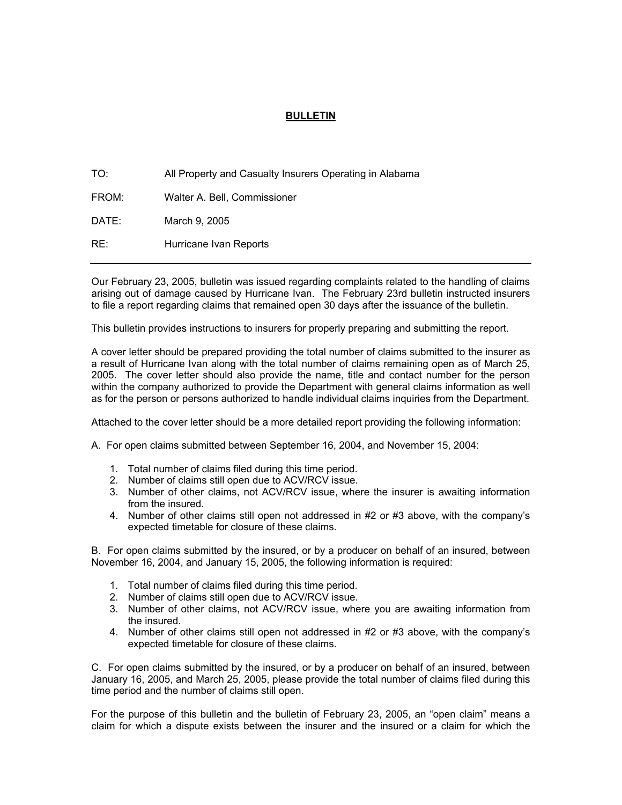## **BULLETIN**

| TO:   | All Property and Casualty Insurers Operating in Alabama |
|-------|---------------------------------------------------------|
| FROM: | Walter A. Bell, Commissioner                            |
| DATE: | March 9, 2005                                           |
| RE:   | Hurricane Ivan Reports                                  |

Our February 23, 2005, bulletin was issued regarding complaints related to the handling of claims arising out of damage caused by Hurricane Ivan. The February 23rd bulletin instructed insurers to file a report regarding claims that remained open 30 days after the issuance of the bulletin.

This bulletin provides instructions to insurers for properly preparing and submitting the report.

A cover letter should be prepared providing the total number of claims submitted to the insurer as a result of Hurricane Ivan along with the total number of claims remaining open as of March 25, 2005. The cover letter should also provide the name, title and contact number for the person within the company authorized to provide the Department with general claims information as well as for the person or persons authorized to handle individual claims inquiries from the Department.

Attached to the cover letter should be a more detailed report providing the following information:

A. For open claims submitted between September 16, 2004, and November 15, 2004:

- 1. Total number of claims filed during this time period.
- 2. Number of claims still open due to ACV/RCV issue.
- 3. Number of other claims, not ACV/RCV issue, where the insurer is awaiting information from the insured.
- 4. Number of other claims still open not addressed in #2 or #3 above, with the company's expected timetable for closure of these claims.

B. For open claims submitted by the insured, or by a producer on behalf of an insured, between November 16, 2004, and January 15, 2005, the following information is required:

- 1. Total number of claims filed during this time period.
- 2. Number of claims still open due to ACV/RCV issue.
- 3. Number of other claims, not ACV/RCV issue, where you are awaiting information from the insured.
- 4. Number of other claims still open not addressed in #2 or #3 above, with the company's expected timetable for closure of these claims.

C. For open claims submitted by the insured, or by a producer on behalf of an insured, between January 16, 2005, and March 25, 2005, please provide the total number of claims filed during this time period and the number of claims still open.

For the purpose of this bulletin and the bulletin of February 23, 2005, an "open claim" means a claim for which a dispute exists between the insurer and the insured or a claim for which the